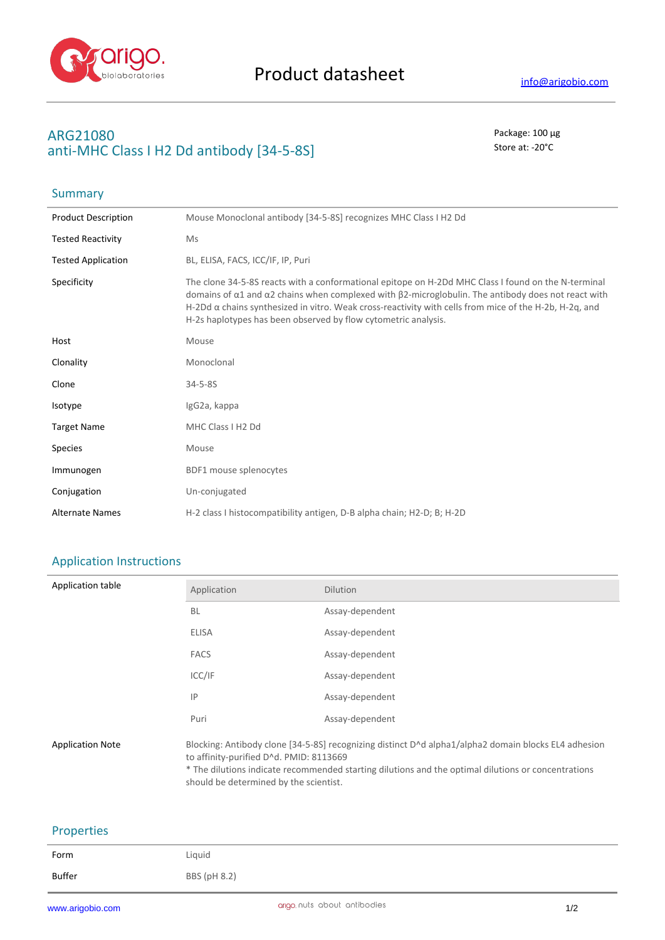

**Summary** 

## **ARG21080** Package: 100 μg **anti-MHC Class I H2 Dd antibody [34-5-8S]** Store at: -20<sup>°</sup>C

| <b>Product Description</b> | Mouse Monoclonal antibody [34-5-8S] recognizes MHC Class I H2 Dd                                                                                                                                                                                                                                                                                                                                                    |
|----------------------------|---------------------------------------------------------------------------------------------------------------------------------------------------------------------------------------------------------------------------------------------------------------------------------------------------------------------------------------------------------------------------------------------------------------------|
| <b>Tested Reactivity</b>   | Ms                                                                                                                                                                                                                                                                                                                                                                                                                  |
| <b>Tested Application</b>  | BL, ELISA, FACS, ICC/IF, IP, Puri                                                                                                                                                                                                                                                                                                                                                                                   |
| Specificity                | The clone 34-5-8S reacts with a conformational epitope on H-2Dd MHC Class I found on the N-terminal<br>domains of $\alpha$ 1 and $\alpha$ 2 chains when complexed with $\beta$ 2-microglobulin. The antibody does not react with<br>H-2Dd $\alpha$ chains synthesized in vitro. Weak cross-reactivity with cells from mice of the H-2b, H-2q, and<br>H-2s haplotypes has been observed by flow cytometric analysis. |
| Host                       | Mouse                                                                                                                                                                                                                                                                                                                                                                                                               |
| Clonality                  | Monoclonal                                                                                                                                                                                                                                                                                                                                                                                                          |
| Clone                      | $34 - 5 - 85$                                                                                                                                                                                                                                                                                                                                                                                                       |
| Isotype                    | IgG2a, kappa                                                                                                                                                                                                                                                                                                                                                                                                        |
| <b>Target Name</b>         | MHC Class I H2 Dd                                                                                                                                                                                                                                                                                                                                                                                                   |
| <b>Species</b>             | Mouse                                                                                                                                                                                                                                                                                                                                                                                                               |
| Immunogen                  | BDF1 mouse splenocytes                                                                                                                                                                                                                                                                                                                                                                                              |
| Conjugation                | Un-conjugated                                                                                                                                                                                                                                                                                                                                                                                                       |
| <b>Alternate Names</b>     | H-2 class I histocompatibility antigen, D-B alpha chain; H2-D; B; H-2D                                                                                                                                                                                                                                                                                                                                              |

## Application Instructions

| Application table       | Application                                                                       | <b>Dilution</b>                                                                                                                                                                                             |
|-------------------------|-----------------------------------------------------------------------------------|-------------------------------------------------------------------------------------------------------------------------------------------------------------------------------------------------------------|
|                         | <b>BL</b>                                                                         | Assay-dependent                                                                                                                                                                                             |
|                         | <b>ELISA</b>                                                                      | Assay-dependent                                                                                                                                                                                             |
|                         | <b>FACS</b>                                                                       | Assay-dependent                                                                                                                                                                                             |
|                         | ICC/IF                                                                            | Assay-dependent                                                                                                                                                                                             |
|                         | IP                                                                                | Assay-dependent                                                                                                                                                                                             |
|                         | Puri                                                                              | Assay-dependent                                                                                                                                                                                             |
| <b>Application Note</b> | to affinity-purified D^d. PMID: 8113669<br>should be determined by the scientist. | Blocking: Antibody clone [34-5-85] recognizing distinct D^d alpha1/alpha2 domain blocks EL4 adhesion<br>* The dilutions indicate recommended starting dilutions and the optimal dilutions or concentrations |

## Properties

| Form   | Liquid       |
|--------|--------------|
| Buffer | BBS (pH 8.2) |